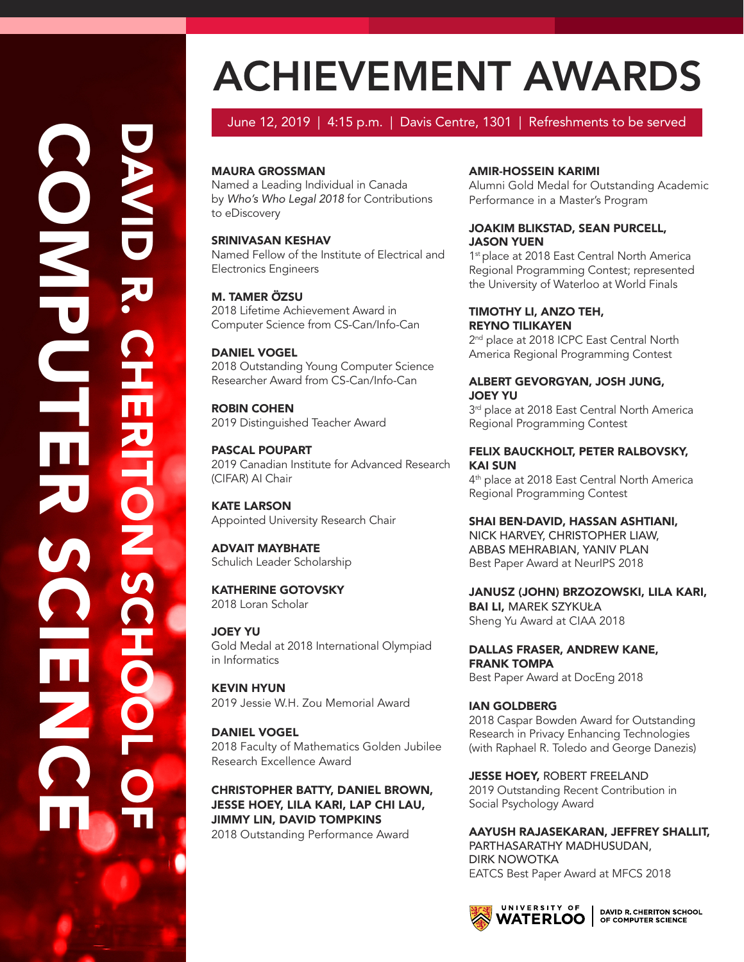# $\overline{\mathbf{U}}$ AV <u>In the second second</u>  $\overline{\mathbf{U}}$ **ZU** .  $\Omega$ H  $\overline{\mathbf{H}}$  $\overline{\mathbf{z}}$ <u>In the Sea</u> Tanah<br>Tanggalan O Z  $\boldsymbol{\mathsf{S}}$  $\Omega$ H O O L O **Frida**  $\Omega$ O M **PO** U K LAND  $\overline{\mathbf{E}}$ **R**  $\boldsymbol{\mathsf{S}}$  $\Omega$ <u>In the Community of the Community</u> E N  $\Omega$ E

# ACHIEVEMENT AWARDS

# June 12, 2019 | 4:15 p.m. | Davis Centre, 1301 | Refreshments to be served

# MAURA GROSSMAN

Named a Leading Individual in Canada by *Who's Who Legal 2018* for Contributions to eDiscovery

SRINIVASAN KESHAV Named Fellow of the Institute of Electrical and Electronics Engineers

**M. TAMER ÖZSU** 2018 Lifetime Achievement Award in Computer Science from CS-Can/Info-Can

DANIEL VOGEL 2018 Outstanding Young Computer Science Researcher Award from CS-Can/Info-Can

ROBIN COHEN 2019 Distinguished Teacher Award

PASCAL POUPART 2019 Canadian Institute for Advanced Research (CIFAR) AI Chair

KATE LARSON Appointed University Research Chair

ADVAIT MAYBHATE Schulich Leader Scholarship

KATHERINE GOTOVSKY 2018 Loran Scholar

JOEY YU Gold Medal at 2018 International Olympiad in Informatics

KEVIN HYUN 2019 Jessie W.H. Zou Memorial Award

DANIEL VOGEL 2018 Faculty of Mathematics Golden Jubilee Research Excellence Award

CHRISTOPHER BATTY, DANIEL BROWN, JESSE HOEY, LILA KARI, LAP CHI LAU, JIMMY LIN, DAVID TOMPKINS 2018 Outstanding Performance Award

# AMIR-HOSSEIN KARIMI

Alumni Gold Medal for Outstanding Academic Performance in a Master's Program

#### JOAKIM BLIKSTAD, SEAN PURCELL, JASON YUEN

1<sup>st</sup> place at 2018 East Central North America Regional Programming Contest; represented the University of Waterloo at World Finals

TIMOTHY LI, ANZO TEH, REYNO TILIKAYEN 2<sup>nd</sup> place at 2018 ICPC East Central North America Regional Programming Contest

#### ALBERT GEVORGYAN, JOSH JUNG, JOEY YU

3<sup>rd</sup> place at 2018 East Central North America Regional Programming Contest

# FELIX BAUCKHOLT, PETER RALBOVSKY, KAI SUN

4<sup>th</sup> place at 2018 East Central North America Regional Programming Contest

SHAI BEN-DAVID, HASSAN ASHTIANI, NICK HARVEY, CHRISTOPHER LIAW, ABBAS MEHRABIAN, YANIV PLAN Best Paper Award at NeurIPS 2018

JANUSZ (JOHN) BRZOZOWSKI, LILA KARI, BAI LI, MAREK SZYKUŁA Sheng Yu Award at CIAA 2018

DALLAS FRASER, ANDREW KANE, FRANK TOMPA Best Paper Award at DocEng 2018

IAN GOLDBERG 2018 Caspar Bowden Award for Outstanding Research in Privacy Enhancing Technologies (with Raphael R. Toledo and George Danezis)

**JESSE HOEY, ROBERT FREELAND** 2019 Outstanding Recent Contribution in Social Psychology Award

AAYUSH RAJASEKARAN, JEFFREY SHALLIT, PARTHASARATHY MADHUSUDAN, DIRK NOWOTKA EATCS Best Paper Award at MFCS 2018